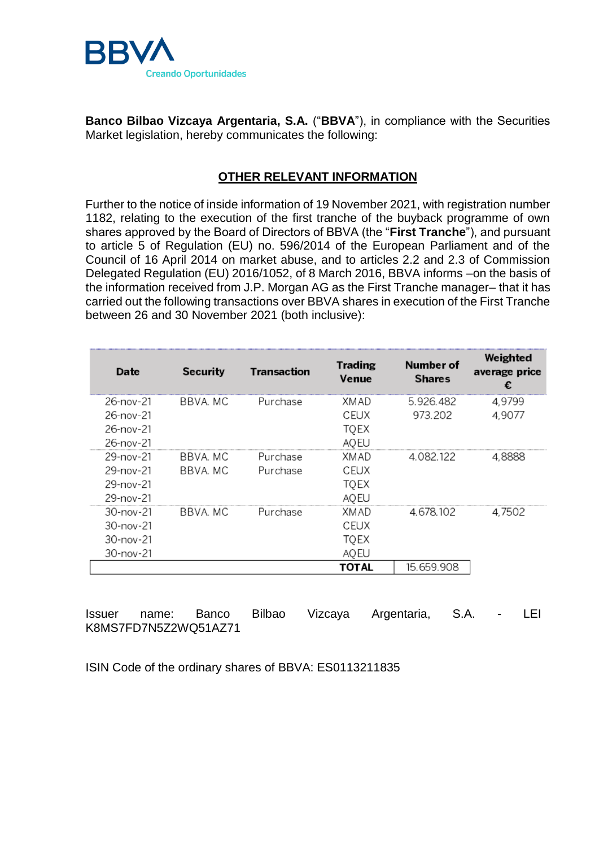

**Banco Bilbao Vizcaya Argentaria, S.A.** ("**BBVA**"), in compliance with the Securities Market legislation, hereby communicates the following:

## **OTHER RELEVANT INFORMATION**

Further to the notice of inside information of 19 November 2021, with registration number 1182, relating to the execution of the first tranche of the buyback programme of own shares approved by the Board of Directors of BBVA (the "**First Tranche**"), and pursuant to article 5 of Regulation (EU) no. 596/2014 of the European Parliament and of the Council of 16 April 2014 on market abuse, and to articles 2.2 and 2.3 of Commission Delegated Regulation (EU) 2016/1052, of 8 March 2016, BBVA informs –on the basis of the information received from J.P. Morgan AG as the First Tranche manager– that it has carried out the following transactions over BBVA shares in execution of the First Tranche between 26 and 30 November 2021 (both inclusive):

| Date            | <b>Security</b> | <b>Transaction</b> | <b>Trading</b><br>Venue | Number of<br><b>Shares</b> | Weighted<br>average price |
|-----------------|-----------------|--------------------|-------------------------|----------------------------|---------------------------|
| 26-nov-21       | BBVA. MC        | Purchase           | XMAD                    | 5.926.482                  | 4,9799                    |
| 26-nov-21       |                 |                    | CEUX                    | 973.202                    | 4,9077                    |
| 26-nov-21       |                 |                    | <b>TQEX</b>             |                            |                           |
| 26-nov-21       |                 |                    | <b>AQEU</b>             |                            |                           |
| 29-nov-21       | BBVA. MC        | Purchase           | XMAD                    | 4.082.122                  | 4,8888                    |
| 29-nov-21       | BBVA, MC        | Purchase           | CEUX                    |                            |                           |
| 29-nov-21       |                 |                    | <b>TOEX</b>             |                            |                           |
| 29-nov-21       |                 |                    | <b>AQEU</b>             |                            |                           |
| 30-nov-21       | BBVA, MC        | Purchase           | XMAD                    | 4.678.102                  | 4,7502                    |
| $30 - nov - 21$ |                 |                    | CEUX                    |                            |                           |
| 30-nov-21       |                 |                    | <b>TOEX</b>             |                            |                           |
| 30-nov-21       |                 |                    | AQEU                    |                            |                           |
|                 |                 |                    | TOTAL                   | 15.659.908                 |                           |

Issuer name: Banco Bilbao Vizcaya Argentaria, S.A. - LEI K8MS7FD7N5Z2WQ51AZ71

ISIN Code of the ordinary shares of BBVA: ES0113211835